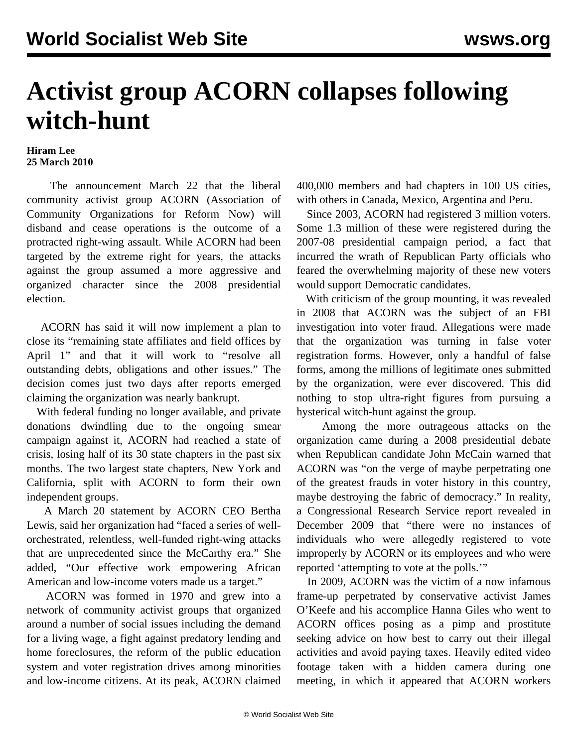## **Activist group ACORN collapses following witch-hunt**

## **Hiram Lee 25 March 2010**

 The announcement March 22 that the liberal community activist group ACORN (Association of Community Organizations for Reform Now) will disband and cease operations is the outcome of a protracted right-wing assault. While ACORN had been targeted by the extreme right for years, the attacks against the group assumed a more aggressive and organized character since the 2008 presidential election.

 ACORN has said it will now implement a plan to close its "remaining state affiliates and field offices by April 1" and that it will work to "resolve all outstanding debts, obligations and other issues." The decision comes just two days after reports emerged claiming the organization was nearly bankrupt.

 With federal funding no longer available, and private donations dwindling due to the ongoing smear campaign against it, ACORN had reached a state of crisis, losing half of its 30 state chapters in the past six months. The two largest state chapters, New York and California, split with ACORN to form their own independent groups.

 A March 20 statement by ACORN CEO Bertha Lewis, said her organization had "faced a series of wellorchestrated, relentless, well-funded right-wing attacks that are unprecedented since the McCarthy era." She added, "Our effective work empowering African American and low-income voters made us a target."

 ACORN was formed in 1970 and grew into a network of community activist groups that organized around a number of social issues including the demand for a living wage, a fight against predatory lending and home foreclosures, the reform of the public education system and voter registration drives among minorities and low-income citizens. At its peak, ACORN claimed

400,000 members and had chapters in 100 US cities, with others in Canada, Mexico, Argentina and Peru.

 Since 2003, ACORN had registered 3 million voters. Some 1.3 million of these were registered during the 2007-08 presidential campaign period, a fact that incurred the wrath of Republican Party officials who feared the overwhelming majority of these new voters would support Democratic candidates.

 With criticism of the group mounting, it was revealed in 2008 that ACORN was the subject of an FBI investigation into voter fraud. Allegations were made that the organization was turning in false voter registration forms. However, only a handful of false forms, among the millions of legitimate ones submitted by the organization, were ever discovered. This did nothing to stop ultra-right figures from pursuing a hysterical witch-hunt against the group.

 Among the more outrageous attacks on the organization came during a 2008 presidential debate when Republican candidate John McCain warned that ACORN was "on the verge of maybe perpetrating one of the greatest frauds in voter history in this country, maybe destroying the fabric of democracy." In reality, a Congressional Research Service report revealed in December 2009 that "there were no instances of individuals who were allegedly registered to vote improperly by ACORN or its employees and who were reported 'attempting to vote at the polls.'"

 In 2009, ACORN was the victim of a now infamous frame-up perpetrated by conservative activist James O'Keefe and his accomplice Hanna Giles who went to ACORN offices posing as a pimp and prostitute seeking advice on how best to carry out their illegal activities and avoid paying taxes. Heavily edited video footage taken with a hidden camera during one meeting, in which it appeared that ACORN workers